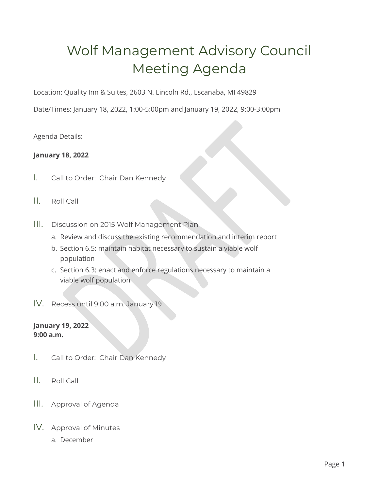# Wolf Management Advisory Council Meeting Agenda

Location: Quality Inn & Suites, 2603 N. Lincoln Rd., Escanaba, MI 49829

Date/Times: January 18, 2022, 1:00-5:00pm and January 19, 2022, 9:00-3:00pm

Agenda Details:

## **January 18, 2022**

- I. Call to Order: Chair Dan Kennedy
- II. Roll Call
- III. Discussion on 2015 Wolf Management Plan
	- a. Review and discuss the existing recommendation and interim report
	- b. Section 6.5: maintain habitat necessary to sustain a viable wolf population
	- c. Section 6.3: enact and enforce regulations necessary to maintain a viable wolf population
- IV. Recess until 9:00 a.m. January 19

## **January 19, 2022 9:00 a.m.**

- I. Call to Order: Chair Dan Kennedy
- II. Roll Call
- III. Approval of Agenda
- IV. Approval of Minutes
	- a. December